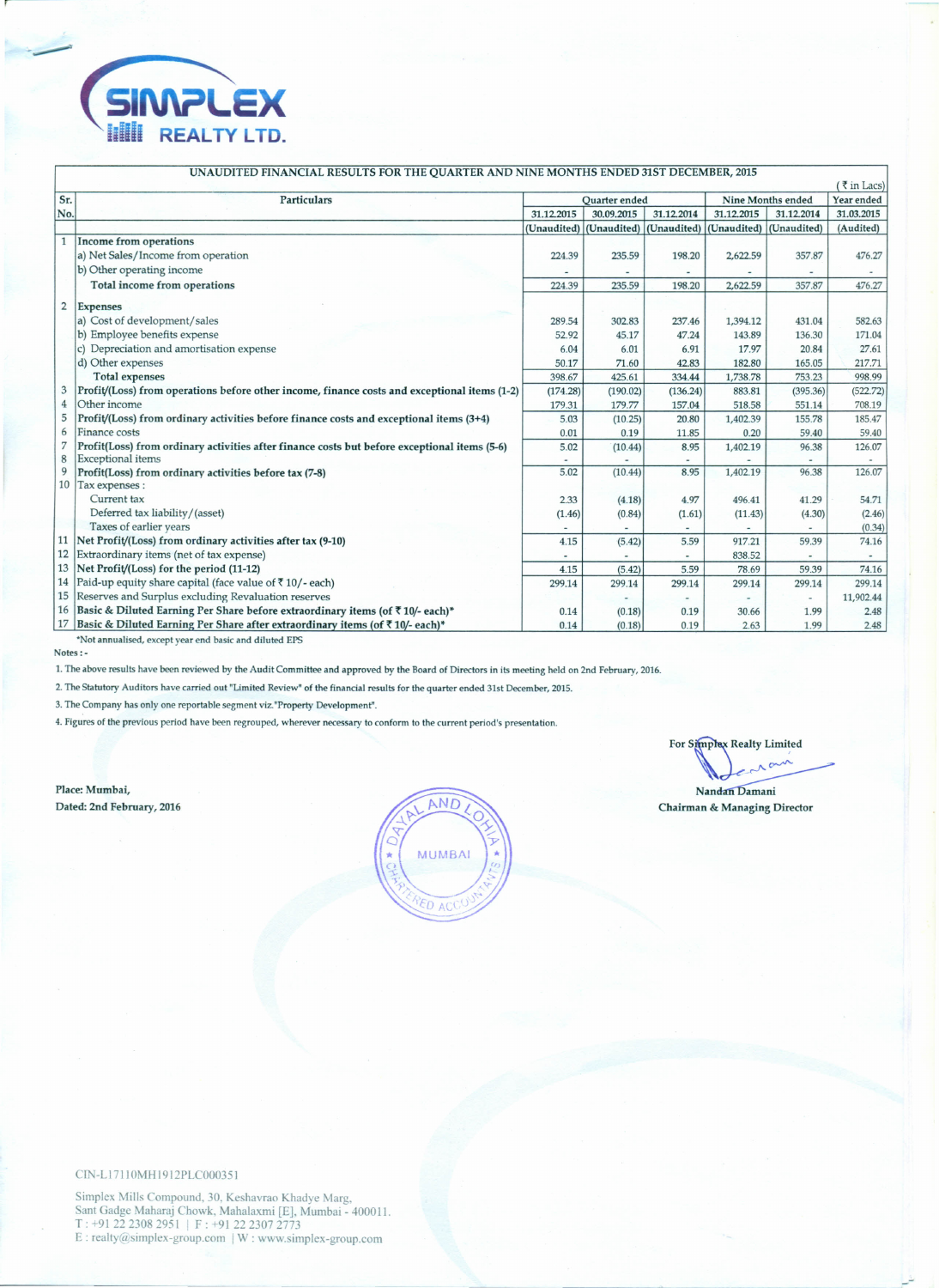

| 1111 Chap Resource Town Inc. Commentance into his monthly ended once december<br>$\sqrt{\frac{1}{5}}$ in Lacs) |                                                                                              |               |             |             |                          |            |            |
|----------------------------------------------------------------------------------------------------------------|----------------------------------------------------------------------------------------------|---------------|-------------|-------------|--------------------------|------------|------------|
| Sr.                                                                                                            | Particulars                                                                                  | Quarter ended |             |             | <b>Nine Months ended</b> |            | Year ended |
| No.                                                                                                            |                                                                                              | 31.12.2015    | 30.09.2015  | 31.12.2014  | 31.12.2015               | 31.12.2014 | 31.03.2015 |
|                                                                                                                |                                                                                              | (Unaudited)   | (Unaudited) | (Unaudited) | (Unaudited) (Unaudited)  |            | (Audited)  |
| $\mathbf{1}$                                                                                                   | <b>Income from operations</b>                                                                |               |             |             |                          |            |            |
|                                                                                                                | a) Net Sales/Income from operation                                                           | 224.39        | 235.59      | 198.20      | 2,622.59                 | 357.87     | 476.27     |
|                                                                                                                | b) Other operating income                                                                    |               |             |             |                          |            |            |
|                                                                                                                | Total income from operations                                                                 | 224.39        | 235.59      | 198.20      | 2,622.59                 | 357.87     | 476.27     |
| $\overline{2}$                                                                                                 | <b>Expenses</b>                                                                              |               |             |             |                          |            |            |
|                                                                                                                | a) Cost of development/sales                                                                 | 289.54        | 302.83      | 237.46      | 1,394.12                 | 431.04     | 582.63     |
|                                                                                                                | b) Employee benefits expense                                                                 | 52.92         | 45.17       | 47.24       | 143.89                   | 136.30     | 171.04     |
|                                                                                                                | c) Depreciation and amortisation expense                                                     | 6.04          | 6.01        | 6.91        | 17.97                    | 20.84      | 27.61      |
|                                                                                                                | d) Other expenses                                                                            | 50.17         | 71.60       | 42.83       | 182.80                   | 165.05     | 217.71     |
|                                                                                                                | <b>Total expenses</b>                                                                        | 398.67        | 425.61      | 334.44      | 1,738.78                 | 753.23     | 998.99     |
| 3                                                                                                              | Profit/(Loss) from operations before other income, finance costs and exceptional items (1-2) | (174.28)      | (190.02)    | (136.24)    | 883.81                   | (395.36)   | (522.72)   |
| $\overline{4}$                                                                                                 | Other income                                                                                 | 179.31        | 179.77      | 157.04      | 518.58                   | 551.14     | 708.19     |
| 5                                                                                                              | Profit/(Loss) from ordinary activities before finance costs and exceptional items (3+4)      | 5.03          | (10.25)     | 20.80       | 1,402.39                 | 155.78     | 185.47     |
| 6                                                                                                              | Finance costs                                                                                | 0.01          | 0.19        | 11.85       | 0.20                     | 59.40      | 59.40      |
| 7                                                                                                              | Profit(Loss) from ordinary activities after finance costs but before exceptional items (5-6) | 5.02          | (10.44)     | 8.95        | 1,402.19                 | 96.38      | 126.07     |
| 8                                                                                                              | Exceptional items                                                                            |               |             |             |                          |            |            |
| 9                                                                                                              | Profit(Loss) from ordinary activities before tax (7-8)                                       | 5.02          | (10.44)     | 8.95        | 1,402.19                 | 96.38      | 126.07     |
| 10                                                                                                             | Tax expenses :                                                                               |               |             |             |                          |            |            |
|                                                                                                                | Current tax                                                                                  | 2.33          | (4.18)      | 4.97        | 496.41                   | 41.29      | 54.71      |
|                                                                                                                | Deferred tax liability/(asset)                                                               | (1.46)        | (0.84)      | (1.61)      | (11.43)                  | (4.30)     | (2.46)     |
|                                                                                                                | Taxes of earlier years                                                                       |               |             |             |                          |            | (0.34)     |
| 11                                                                                                             | Net Profit/(Loss) from ordinary activities after tax (9-10)                                  | 4.15          | (5.42)      | 5.59        | 917.21                   | 59.39      | 74.16      |
| 12                                                                                                             | Extraordinary items (net of tax expense)                                                     |               |             |             | 838.52                   |            | ٠          |
| 13                                                                                                             | Net Profit/(Loss) for the period (11-12)                                                     | 4.15          | (5.42)      | 5.59        | 78.69                    | 59.39      | 74.16      |
| 14                                                                                                             | Paid-up equity share capital (face value of ₹10/-each)                                       | 299.14        | 299.14      | 299.14      | 299.14                   | 299.14     | 299.14     |
| 15                                                                                                             | Reserves and Surplus excluding Revaluation reserves                                          |               |             |             |                          |            | 11,902.44  |
| 16                                                                                                             | Basic & Diluted Earning Per Share before extraordinary items (of ₹10/- each)*                | 0.14          | (0.18)      | 0.19        | 30.66                    | 1.99       | 2.48       |
| 17                                                                                                             | Basic & Diluted Earning Per Share after extraordinary items (of ₹10/- each)*                 | 0.14          | (0.18)      | 0.19        | 2.63                     | 1.99       | 2.48       |
|                                                                                                                | *Not annualised, except year end basic and diluted EPS                                       |               |             |             |                          |            |            |

## UNAUDITED FINANCIAL RESULTS FOR THE QUARTER AND NINE MONTHS ENDED 31ST DECEMBER, 2015

Notes:-

1. The above results have been reviewed by the Audit Committee and approved by the Board of Directors in its meeting held on 2nd February, 2016.

2. The Statutory Auditors have carried out 'Limited Review' of the financial results for the quarter ended 31st December, 2015.

3. The Company has only one reportable segment viz.'Property Development".

4. Figures of the previous period have been regrouped, wherever necessary to conform to the current period's presentation.

Place: Mumbai, Dated: 2nd February, 2016



For Simplex Realty Limited  $\mathbb{R}$  .

Nandan Damani Chairman & Managing Director

ClN-Ll711 OMH 1912PLC000351

Simplex Mills Compound, 30, Keshavrao Khadye Marg, Sant Gadge Maharaj Chowk, Mahalaxmi [E], Mumbai - 400011 T: +91 22 2308 2951 | F: +91 22 2307 2 E : realty@simplex-group.com | W : www.simplex-group.com